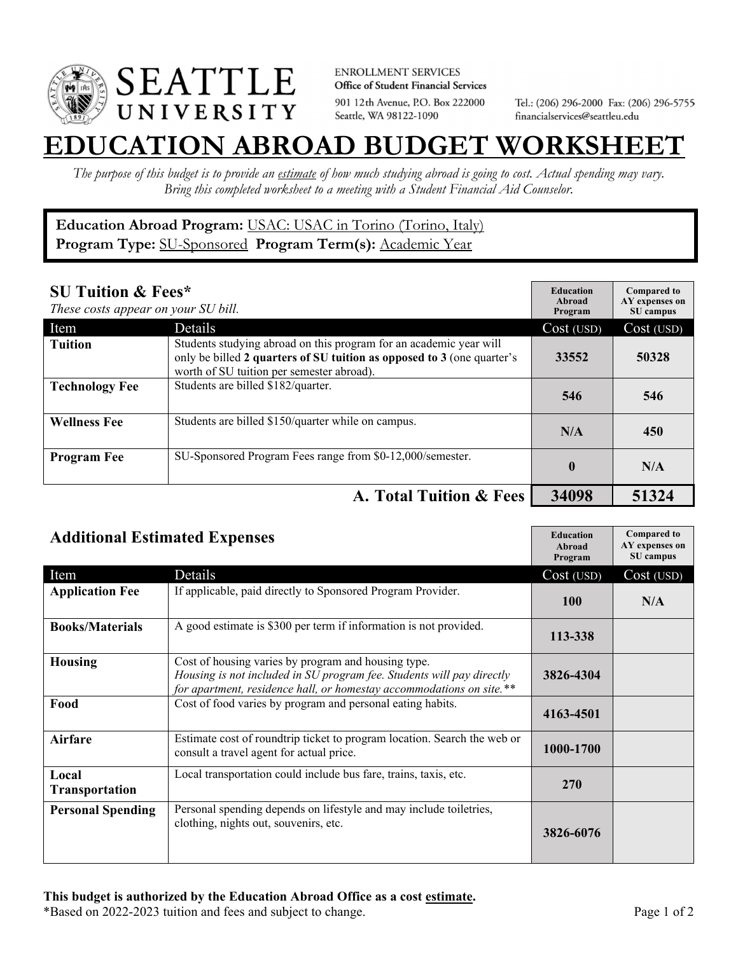

**ENROLLMENT SERVICES** Office of Student Financial Services 901 12th Avenue, P.O. Box 222000 Seattle, WA 98122-1090

Tel.: (206) 296-2000 Fax: (206) 296-5755 financialservices@seattleu.edu

## **EATION ABROAD BUDGET WORKSHEE**

*The purpose of this budget is to provide an estimate of how much studying abroad is going to cost. Actual spending may vary. Bring this completed worksheet to a meeting with a Student Financial Aid Counselor.* 

## **Education Abroad Program:** USAC: USAC in Torino (Torino, Italy) Program Type: **SU-Sponsored** Program Term(s): **Academic Year**

| <b>SU Tuition &amp; Fees*</b><br>These costs appear on your SU bill. |                                                                                                                                                                                           | <b>Education</b><br>Abroad<br>Program | <b>Compared to</b><br>AY expenses on<br>SU campus |
|----------------------------------------------------------------------|-------------------------------------------------------------------------------------------------------------------------------------------------------------------------------------------|---------------------------------------|---------------------------------------------------|
| Item                                                                 | Details                                                                                                                                                                                   | Cost (USD)                            | Cost (USD)                                        |
| <b>Tuition</b>                                                       | Students studying abroad on this program for an academic year will<br>only be billed 2 quarters of SU tuition as opposed to 3 (one quarter's<br>worth of SU tuition per semester abroad). | 33552                                 | 50328                                             |
| <b>Technology Fee</b>                                                | Students are billed \$182/quarter.                                                                                                                                                        | 546                                   | 546                                               |
| <b>Wellness Fee</b>                                                  | Students are billed \$150/quarter while on campus.                                                                                                                                        | N/A                                   | 450                                               |
| <b>Program Fee</b>                                                   | SU-Sponsored Program Fees range from \$0-12,000/semester.                                                                                                                                 | $\mathbf{0}$                          | N/A                                               |
|                                                                      | A. Total Tuition & Fees                                                                                                                                                                   | 34098                                 | 51324                                             |

| <b>Additional Estimated Expenses</b> |                                                                                                                                                                                                      | <b>Education</b><br>Abroad<br>Program | <b>Compared to</b><br>AY expenses on<br>SU campus |
|--------------------------------------|------------------------------------------------------------------------------------------------------------------------------------------------------------------------------------------------------|---------------------------------------|---------------------------------------------------|
| Item                                 | Details                                                                                                                                                                                              | Cost (USD)                            | Cost (USD)                                        |
| <b>Application Fee</b>               | If applicable, paid directly to Sponsored Program Provider.                                                                                                                                          | <b>100</b>                            | N/A                                               |
| <b>Books/Materials</b>               | A good estimate is \$300 per term if information is not provided.                                                                                                                                    | 113-338                               |                                                   |
| <b>Housing</b>                       | Cost of housing varies by program and housing type.<br>Housing is not included in SU program fee. Students will pay directly<br>for apartment, residence hall, or homestay accommodations on site.** | 3826-4304                             |                                                   |
| Food                                 | Cost of food varies by program and personal eating habits.                                                                                                                                           | 4163-4501                             |                                                   |
| Airfare                              | Estimate cost of roundtrip ticket to program location. Search the web or<br>consult a travel agent for actual price.                                                                                 | 1000-1700                             |                                                   |
| Local<br>Transportation              | Local transportation could include bus fare, trains, taxis, etc.                                                                                                                                     | <b>270</b>                            |                                                   |
| <b>Personal Spending</b>             | Personal spending depends on lifestyle and may include toiletries,<br>clothing, nights out, souvenirs, etc.                                                                                          | 3826-6076                             |                                                   |

\*Based on 2022-2023 tuition and fees and subject to change. Page 1 of 2